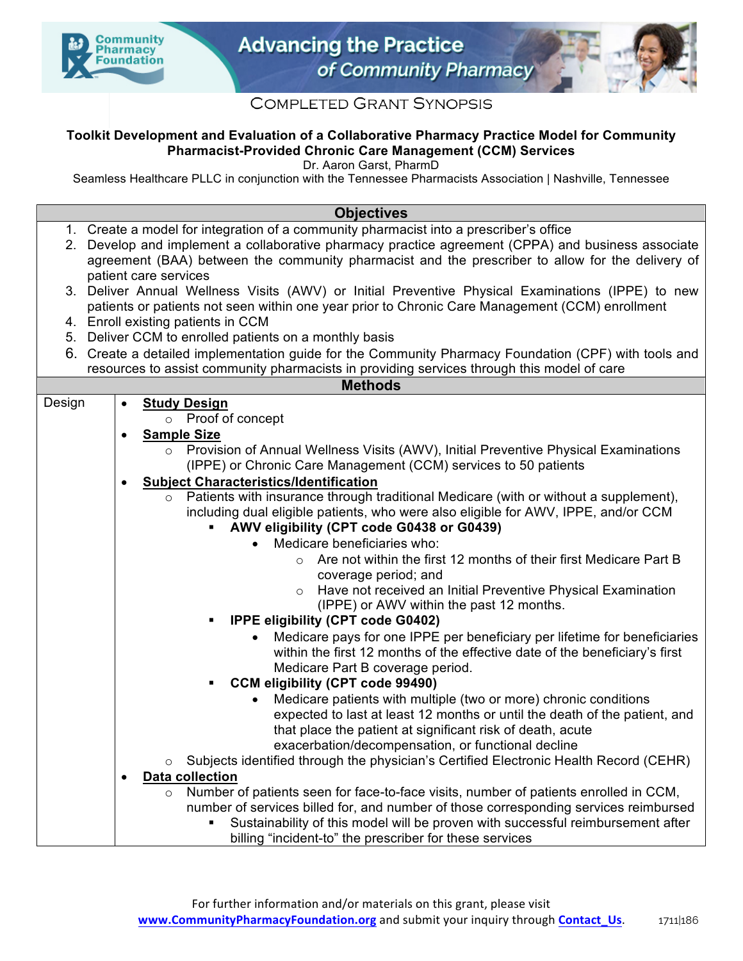



## **COMPLETED GRANT SYNOPSIS**

## **Toolkit Development and Evaluation of a Collaborative Pharmacy Practice Model for Community Pharmacist-Provided Chronic Care Management (CCM) Services**

Dr. Aaron Garst, PharmD

Seamless Healthcare PLLC in conjunction with the Tennessee Pharmacists Association | Nashville, Tennessee

#### **Objectives**

|  | 1. Create a model for integration of a community pharmacist into a prescriber's office |  |
|--|----------------------------------------------------------------------------------------|--|
|--|----------------------------------------------------------------------------------------|--|

- 2. Develop and implement a collaborative pharmacy practice agreement (CPPA) and business associate agreement (BAA) between the community pharmacist and the prescriber to allow for the delivery of patient care services
- 3. Deliver Annual Wellness Visits (AWV) or Initial Preventive Physical Examinations (IPPE) to new patients or patients not seen within one year prior to Chronic Care Management (CCM) enrollment
- 4. Enroll existing patients in CCM
- 5. Deliver CCM to enrolled patients on a monthly basis
- 6. Create a detailed implementation guide for the Community Pharmacy Foundation (CPF) with tools and resources to assist community pharmacists in providing services through this model of care

| sources to accide community pharmacided in protraing corricols include moder or car<br><b>Methods</b> |                                                            |                                                                                                  |  |  |  |  |  |  |
|-------------------------------------------------------------------------------------------------------|------------------------------------------------------------|--------------------------------------------------------------------------------------------------|--|--|--|--|--|--|
| Design                                                                                                |                                                            |                                                                                                  |  |  |  |  |  |  |
|                                                                                                       | $\bullet$                                                  | <b>Study Design</b>                                                                              |  |  |  |  |  |  |
|                                                                                                       |                                                            | o Proof of concept                                                                               |  |  |  |  |  |  |
|                                                                                                       | $\bullet$                                                  | <b>Sample Size</b>                                                                               |  |  |  |  |  |  |
|                                                                                                       |                                                            | Provision of Annual Wellness Visits (AWV), Initial Preventive Physical Examinations<br>$\circ$   |  |  |  |  |  |  |
|                                                                                                       |                                                            | (IPPE) or Chronic Care Management (CCM) services to 50 patients                                  |  |  |  |  |  |  |
|                                                                                                       | <b>Subject Characteristics/Identification</b><br>$\bullet$ |                                                                                                  |  |  |  |  |  |  |
|                                                                                                       |                                                            | Patients with insurance through traditional Medicare (with or without a supplement),             |  |  |  |  |  |  |
|                                                                                                       |                                                            | including dual eligible patients, who were also eligible for AWV, IPPE, and/or CCM               |  |  |  |  |  |  |
|                                                                                                       |                                                            | AWV eligibility (CPT code G0438 or G0439)<br>a s                                                 |  |  |  |  |  |  |
|                                                                                                       |                                                            | Medicare beneficiaries who:                                                                      |  |  |  |  |  |  |
|                                                                                                       |                                                            | Are not within the first 12 months of their first Medicare Part B<br>$\Omega$                    |  |  |  |  |  |  |
|                                                                                                       |                                                            | coverage period; and                                                                             |  |  |  |  |  |  |
|                                                                                                       |                                                            | Have not received an Initial Preventive Physical Examination<br>$\circ$                          |  |  |  |  |  |  |
|                                                                                                       |                                                            | (IPPE) or AWV within the past 12 months.                                                         |  |  |  |  |  |  |
| <b>IPPE eligibility (CPT code G0402)</b><br>٠                                                         |                                                            |                                                                                                  |  |  |  |  |  |  |
|                                                                                                       |                                                            | Medicare pays for one IPPE per beneficiary per lifetime for beneficiaries                        |  |  |  |  |  |  |
|                                                                                                       |                                                            | within the first 12 months of the effective date of the beneficiary's first                      |  |  |  |  |  |  |
|                                                                                                       |                                                            | Medicare Part B coverage period.                                                                 |  |  |  |  |  |  |
|                                                                                                       |                                                            | <b>CCM eligibility (CPT code 99490)</b><br>٠                                                     |  |  |  |  |  |  |
|                                                                                                       |                                                            | Medicare patients with multiple (two or more) chronic conditions<br>$\bullet$                    |  |  |  |  |  |  |
|                                                                                                       |                                                            | expected to last at least 12 months or until the death of the patient, and                       |  |  |  |  |  |  |
|                                                                                                       |                                                            |                                                                                                  |  |  |  |  |  |  |
|                                                                                                       |                                                            | that place the patient at significant risk of death, acute                                       |  |  |  |  |  |  |
|                                                                                                       |                                                            | exacerbation/decompensation, or functional decline                                               |  |  |  |  |  |  |
|                                                                                                       |                                                            | Subjects identified through the physician's Certified Electronic Health Record (CEHR)<br>$\circ$ |  |  |  |  |  |  |
|                                                                                                       | $\bullet$                                                  | <b>Data collection</b>                                                                           |  |  |  |  |  |  |
|                                                                                                       |                                                            | Number of patients seen for face-to-face visits, number of patients enrolled in CCM,<br>$\circ$  |  |  |  |  |  |  |
|                                                                                                       |                                                            | number of services billed for, and number of those corresponding services reimbursed             |  |  |  |  |  |  |
|                                                                                                       |                                                            | Sustainability of this model will be proven with successful reimbursement after                  |  |  |  |  |  |  |
|                                                                                                       |                                                            | billing "incident-to" the prescriber for these services                                          |  |  |  |  |  |  |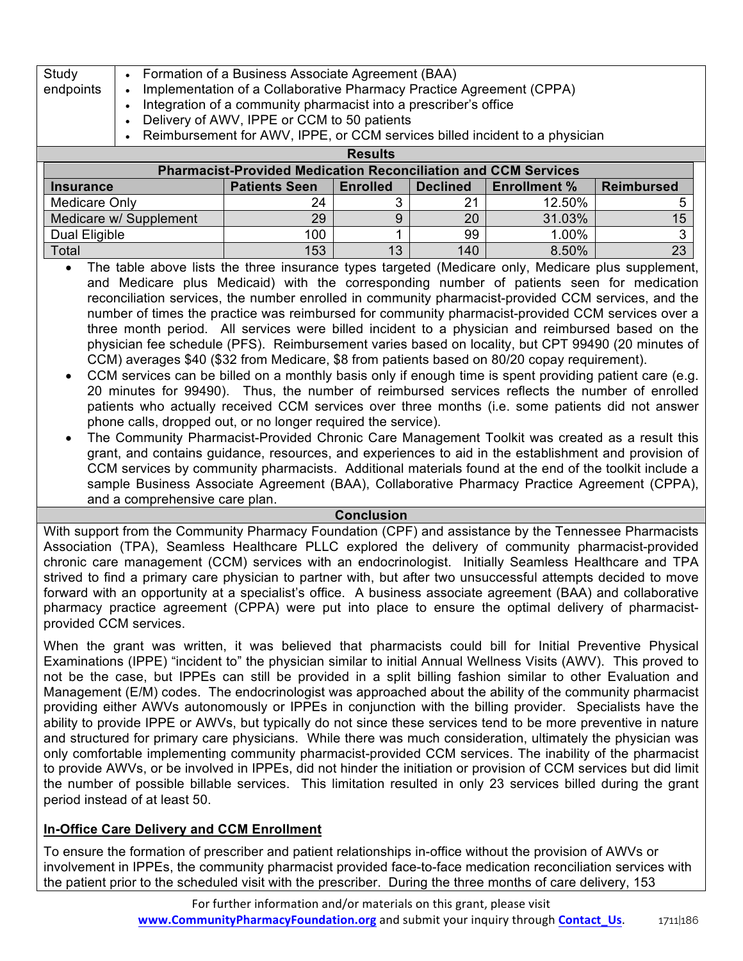| endpoints | Implementation of a Collaborative Pharmacy Practice Agreement (CPPA)<br>Integration of a community pharmacist into a prescriber's office<br>Delivery of AWV, IPPE or CCM to 50 patients |  |
|-----------|-----------------------------------------------------------------------------------------------------------------------------------------------------------------------------------------|--|
|           | Reimbursement for AWV, IPPE, or CCM services billed incident to a physician<br><b>Results</b>                                                                                           |  |

| <b>Pharmacist-Provided Medication Reconciliation and CCM Services</b> |                      |                 |                 |                     |                   |  |  |  |  |  |
|-----------------------------------------------------------------------|----------------------|-----------------|-----------------|---------------------|-------------------|--|--|--|--|--|
| <b>Insurance</b>                                                      | <b>Patients Seen</b> | <b>Enrolled</b> | <b>Declined</b> | <b>Enrollment %</b> | <b>Reimbursed</b> |  |  |  |  |  |
| Medicare Only                                                         | 24                   |                 |                 | 12.50%              |                   |  |  |  |  |  |
| Medicare w/ Supplement                                                | 29                   |                 | 20              | 31.03%              | 15                |  |  |  |  |  |
| Dual Eligible                                                         | 100                  |                 | 99              | 1.00%               |                   |  |  |  |  |  |
| Total                                                                 | 153                  | 13              | 140             | 8.50%               | 23                |  |  |  |  |  |

- The table above lists the three insurance types targeted (Medicare only, Medicare plus supplement, and Medicare plus Medicaid) with the corresponding number of patients seen for medication reconciliation services, the number enrolled in community pharmacist-provided CCM services, and the number of times the practice was reimbursed for community pharmacist-provided CCM services over a three month period. All services were billed incident to a physician and reimbursed based on the physician fee schedule (PFS). Reimbursement varies based on locality, but CPT 99490 (20 minutes of CCM) averages \$40 (\$32 from Medicare, \$8 from patients based on 80/20 copay requirement).
- CCM services can be billed on a monthly basis only if enough time is spent providing patient care (e.g. 20 minutes for 99490). Thus, the number of reimbursed services reflects the number of enrolled patients who actually received CCM services over three months (i.e. some patients did not answer phone calls, dropped out, or no longer required the service).
- The Community Pharmacist-Provided Chronic Care Management Toolkit was created as a result this grant, and contains guidance, resources, and experiences to aid in the establishment and provision of CCM services by community pharmacists. Additional materials found at the end of the toolkit include a sample Business Associate Agreement (BAA), Collaborative Pharmacy Practice Agreement (CPPA), and a comprehensive care plan.

#### **Conclusion**

With support from the Community Pharmacy Foundation (CPF) and assistance by the Tennessee Pharmacists Association (TPA), Seamless Healthcare PLLC explored the delivery of community pharmacist-provided chronic care management (CCM) services with an endocrinologist. Initially Seamless Healthcare and TPA strived to find a primary care physician to partner with, but after two unsuccessful attempts decided to move forward with an opportunity at a specialist's office. A business associate agreement (BAA) and collaborative pharmacy practice agreement (CPPA) were put into place to ensure the optimal delivery of pharmacistprovided CCM services.

When the grant was written, it was believed that pharmacists could bill for Initial Preventive Physical Examinations (IPPE) "incident to" the physician similar to initial Annual Wellness Visits (AWV). This proved to not be the case, but IPPEs can still be provided in a split billing fashion similar to other Evaluation and Management (E/M) codes. The endocrinologist was approached about the ability of the community pharmacist providing either AWVs autonomously or IPPEs in conjunction with the billing provider. Specialists have the ability to provide IPPE or AWVs, but typically do not since these services tend to be more preventive in nature and structured for primary care physicians. While there was much consideration, ultimately the physician was only comfortable implementing community pharmacist-provided CCM services. The inability of the pharmacist to provide AWVs, or be involved in IPPEs, did not hinder the initiation or provision of CCM services but did limit the number of possible billable services. This limitation resulted in only 23 services billed during the grant period instead of at least 50.

## **In-Office Care Delivery and CCM Enrollment**

To ensure the formation of prescriber and patient relationships in-office without the provision of AWVs or involvement in IPPEs, the community pharmacist provided face-to-face medication reconciliation services with the patient prior to the scheduled visit with the prescriber. During the three months of care delivery, 153

> For further information and/or materials on this grant, please visit www.CommunityPharmacyFoundation.org and submit your inquiry through **Contact\_Us.** 1711|186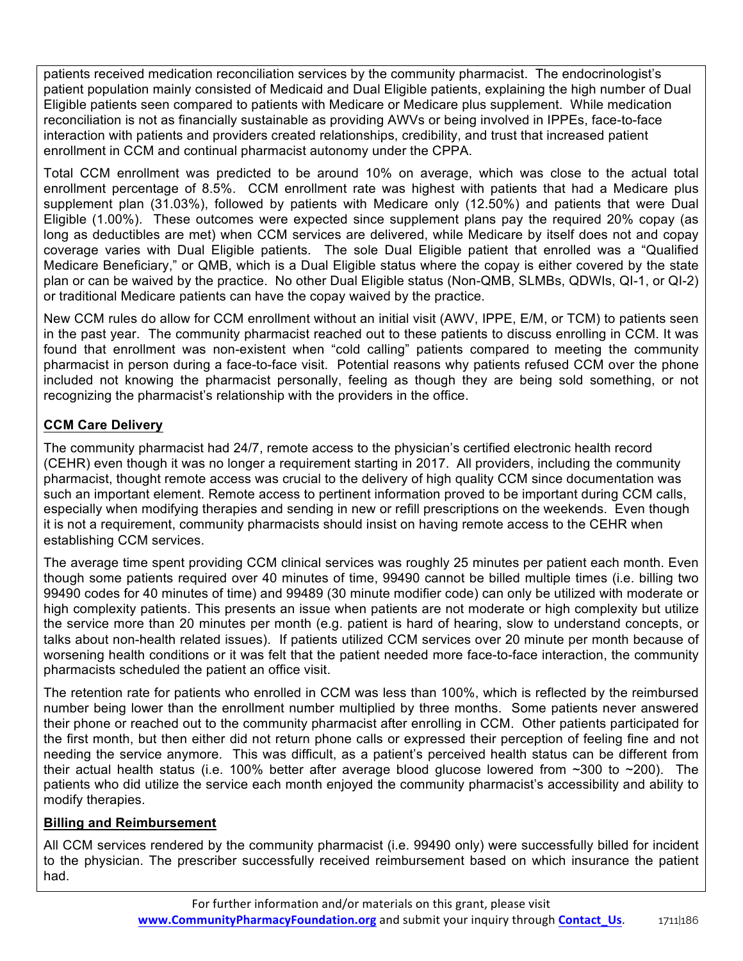patients received medication reconciliation services by the community pharmacist. The endocrinologist's patient population mainly consisted of Medicaid and Dual Eligible patients, explaining the high number of Dual Eligible patients seen compared to patients with Medicare or Medicare plus supplement. While medication reconciliation is not as financially sustainable as providing AWVs or being involved in IPPEs, face-to-face interaction with patients and providers created relationships, credibility, and trust that increased patient enrollment in CCM and continual pharmacist autonomy under the CPPA.

Total CCM enrollment was predicted to be around 10% on average, which was close to the actual total enrollment percentage of 8.5%. CCM enrollment rate was highest with patients that had a Medicare plus supplement plan (31.03%), followed by patients with Medicare only (12.50%) and patients that were Dual Eligible (1.00%). These outcomes were expected since supplement plans pay the required 20% copay (as long as deductibles are met) when CCM services are delivered, while Medicare by itself does not and copay coverage varies with Dual Eligible patients. The sole Dual Eligible patient that enrolled was a "Qualified Medicare Beneficiary," or QMB, which is a Dual Eligible status where the copay is either covered by the state plan or can be waived by the practice. No other Dual Eligible status (Non-QMB, SLMBs, QDWIs, QI-1, or QI-2) or traditional Medicare patients can have the copay waived by the practice.

New CCM rules do allow for CCM enrollment without an initial visit (AWV, IPPE, E/M, or TCM) to patients seen in the past year. The community pharmacist reached out to these patients to discuss enrolling in CCM. It was found that enrollment was non-existent when "cold calling" patients compared to meeting the community pharmacist in person during a face-to-face visit. Potential reasons why patients refused CCM over the phone included not knowing the pharmacist personally, feeling as though they are being sold something, or not recognizing the pharmacist's relationship with the providers in the office.

# **CCM Care Delivery**

The community pharmacist had 24/7, remote access to the physician's certified electronic health record (CEHR) even though it was no longer a requirement starting in 2017. All providers, including the community pharmacist, thought remote access was crucial to the delivery of high quality CCM since documentation was such an important element. Remote access to pertinent information proved to be important during CCM calls, especially when modifying therapies and sending in new or refill prescriptions on the weekends. Even though it is not a requirement, community pharmacists should insist on having remote access to the CEHR when establishing CCM services.

The average time spent providing CCM clinical services was roughly 25 minutes per patient each month. Even though some patients required over 40 minutes of time, 99490 cannot be billed multiple times (i.e. billing two 99490 codes for 40 minutes of time) and 99489 (30 minute modifier code) can only be utilized with moderate or high complexity patients. This presents an issue when patients are not moderate or high complexity but utilize the service more than 20 minutes per month (e.g. patient is hard of hearing, slow to understand concepts, or talks about non-health related issues). If patients utilized CCM services over 20 minute per month because of worsening health conditions or it was felt that the patient needed more face-to-face interaction, the community pharmacists scheduled the patient an office visit.

The retention rate for patients who enrolled in CCM was less than 100%, which is reflected by the reimbursed number being lower than the enrollment number multiplied by three months. Some patients never answered their phone or reached out to the community pharmacist after enrolling in CCM. Other patients participated for the first month, but then either did not return phone calls or expressed their perception of feeling fine and not needing the service anymore. This was difficult, as a patient's perceived health status can be different from their actual health status (i.e. 100% better after average blood glucose lowered from  $\sim$ 300 to  $\sim$ 200). The patients who did utilize the service each month enjoyed the community pharmacist's accessibility and ability to modify therapies.

### **Billing and Reimbursement**

All CCM services rendered by the community pharmacist (i.e. 99490 only) were successfully billed for incident to the physician. The prescriber successfully received reimbursement based on which insurance the patient had.